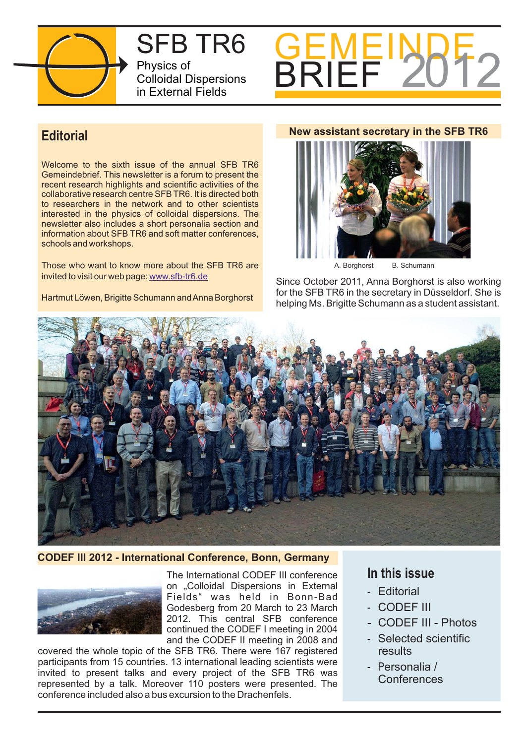

SFB TR6 Physics of Colloidal Dispersions in External Fields



# **Editorial**

Welcome to the sixth issue of the annual SFB TR6 Gemeindebrief. This newsletter is a forum to present the recent research highlights and scientific activities of the collaborative research centre SFB TR6. It is directed both to researchers in the network and to other scientists interested in the physics of colloidal dispersions. The newsletter also includes a short personalia section and information about SFB TR6 and soft matter conferences, schools and workshops.

Those who want to know more about the SFB TR6 are invited to visit our web page: www.sfb-tr6.de

Hartmut Löwen, Brigitte Schumann andAnna Borghorst

# **New assistant secretary in the SFB TR6**



A. Borghorst B. Schumann

Since October 2011, Anna Borghorst is also working for the SFB TR6 in the secretary in Düsseldorf. She is helping Ms. Brigitte Schumann as a student assistant.



**CODEF III 2012 - International Conference, Bonn, Germany**



The International CODEF III conference on "Colloidal Dispersions in External Fields" was held in Bonn-Bad Godesberg from 20 March to 23 March 2012. This central SFB conference continued the CODEF I meeting in 2004 and the CODEF II meeting in 2008 and

covered the whole topic of the SFB TR6. There were 167 registered participants from 15 countries. 13 international leading scientists were invited to present talks and every project of the SFB TR6 was represented by a talk. Moreover 110 posters were presented. The conference included also a bus excursion to the Drachenfels.

# **In this issue**

- Editorial
- CODEF III
- CODEF III Photos
- Selected scientific results
- P ersonalia / **Conferences**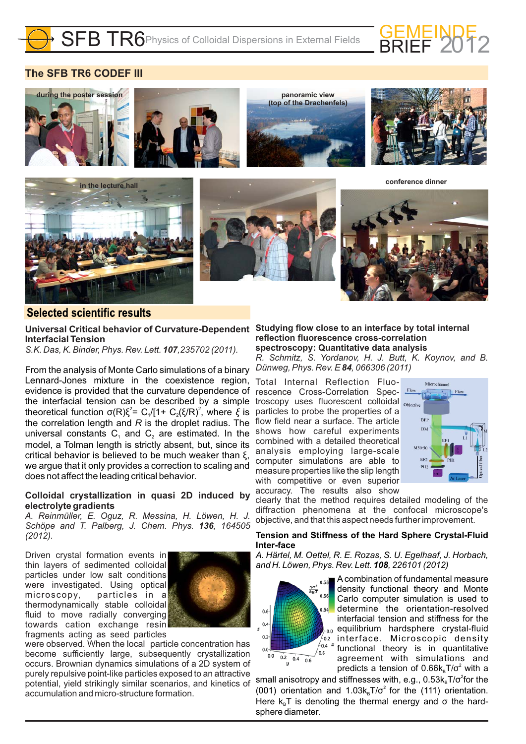

# **The SFB TR6 CODEF III**

















# **Selected scientific results**

Universal Critical behavior of Curvature-Dependent Studying flow close to an interface by total internal **Interfacial Tension**

*S.K. Das, K. Binder, Phys. Rev. Lett.* **107**, 235702 (2011).

From the analysis of Monte Carlo simulations of a binary Lennard-Jones mixture in the coexistence region, evidence is provided that the curvature dependence of the interfacial tension can be described by a simple theoretical function σ(R) $\xi^2$ = C<sub>1</sub>/[1+ C<sub>2</sub>(ξ/R)<sup>2</sup>, where ξ is the correlation length and  $R$  is the droplet radius. The universal constants  $C_1$  and  $C_2$  are estimated. In the model, a Tolman length is strictly absent, but, since its critical behavior is believed to be much weaker than  $\xi$ , we argue that it only provides a correction to scaling and does not affect the leading critical behavior.

### **Colloidal crystallization in quasi 2D induced by electrolyte gradients**

*A. Reinmüller, E. Oguz, R. Messina, H. Löwen, H. J.* Schöpe and T. Palberg, J. Chem. Phys. **136**, 164505 *(2012).*

Driven crystal formation events in thin layers of sedimented colloidal particles under low salt conditions were investigated. Using optical microscopy, particles in a thermodynamically stable colloidal fluid to move radially converging towards cation exchange resin fragments acting as seed particles



were observed. When the local particle concentration has become sufficiently large, subsequently crystallization occurs. Brownian dynamics simulations of a 2D system of purely repulsive point-like particles exposed to an attractive potential, yield strikingly similar scenarios, and kinetics of accumulation and micro-structure formation.

**reflection fluorescence cross-correlation spectroscopy: Quantitative data analysis**

*R. Schmitz, S. Yordanov, H. J. Butt, K. Koynov, and B. Dünweg, Phys. Rev. E 84, 066306 (2011)* 

Total Internal Reflection Fluorescence Cross-Correlation Spectroscopy uses fluorescent colloidal Objective particles to probe the properties of a flow field near a surface. The article shows how careful experiments combined with a detailed theoretical analysis employing large-scale computer simulations are able to measure properties like the slip length with competitive or even superior accuracy. The results also show



clearly that the method requires detailed modeling of the diffraction phenomena at the confocal microscope's objective, and that this aspect needs further improvement.

### **Tension and Stiffness of the Hard Sphere Crystal-Fluid Inter-face**

*A. Härtel, M. Oettel, R. E. Rozas, S. U. Egelhaaf, J. Horbach, and H. Löwen, Phys. Rev. Lett. , 226101 (2012) 108*



A combination of fundamental measure density functional theory and Monte Carlo computer simulation is used to determine the orientation-resolved interfacial tension and stiffness for the equilibrium hardsphere crystal-fluid  $\sqrt[7]{\frac{6.2}{2}}$  interface. Microscopic density functional theory is in quantitative agreement with simulations and predicts a tension of  $0.66k_{\rm B}T/\sigma^2$  with a

small anisotropy and stiffnesses with, e.g.,  $0.53k_{\rm B}T/\sigma^2$ for the (001) orientation and  $1.03k_{B}T/\sigma^{2}$  for the (111) orientation. Here  $k_{B}T$  is denoting the thermal energy and  $\sigma$  the hardsphere diameter.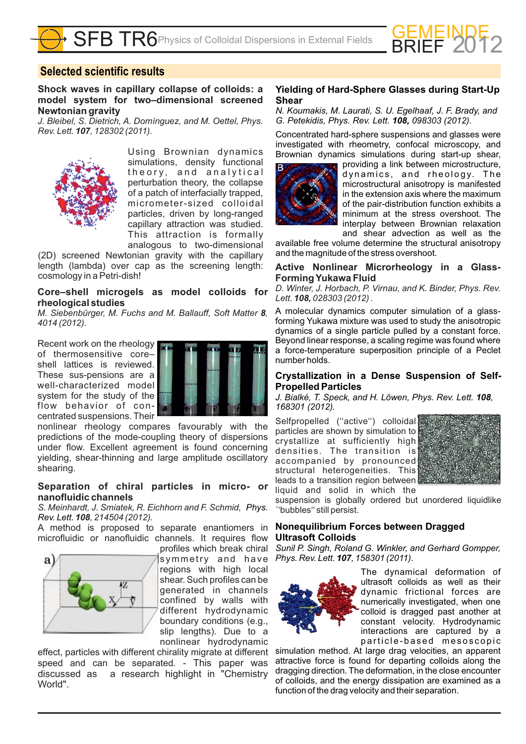

# **Selected scientific results**

**Shock waves in capillary collapse of colloids: a model system for two–dimensional screened Newtonian gravity**

*J. Bleibel, S. Dietrich, A. Domínguez, and M. Oettel, Phys. Rev. Lett.* **107**, 128302 (2011).



Using Brownian dynamics simulations, density functional theory, and analytical perturbation theory, the collapse of a patch of interfacially trapped, micrometer-sized colloidal particles, driven by long-ranged capillary attraction was studied. This attraction is formally analogous to two-dimensional

(2D) screened Newtonian gravity with the capillary length (lambda) over cap as the screening length: cosmology in a Petri-dish!

### **Core–shell microgels as model colloids for rheological studies**

M. Siebenbürger, M. Fuchs and M. Ballauff, Soft Matter 8, *4014 (2012).*

Recent work on the rheology of thermosensitive core– shell lattices is reviewed. These sus-pensions are a well-characterized model system for the study of the flow behavior of concentrated suspensions. Their



nonlinear rheology compares favourably with the predictions of the mode-coupling theory of dispersions under flow. Excellent agreement is found concerning yielding, shear-thinning and large amplitude oscillatory shearing.

### **Separation of chiral particles in micro- or nanofluidic channels**

*S. Meinhardt, J. Smiatek, R. Eichhorn and F. Schmid, Phys. 108, 214504 (2012). Rev. Lett.*

A method is proposed to separate enantiomers in microfluidic or nanofluidic channels. It requires flow profiles which break chiral



symmetry and have regions with high local shear. Such profiles can be generated in channels confined by walls with different hydrodynamic boundary conditions (e.g., slip lengths). Due to a nonlinear hydrodynamic

effect, particles with different chirality migrate at different speed and can be separated. - This paper was discussed as a research highlight in "Chemistry World".

### **Yielding of Hard-Sphere Glasses during Start-Up Shear**

*N. Koumakis, M. Laurati, S. U. Egelhaaf, J. F. Brady, and G. Petekidis, Phys. Rev. Lett. 098303 (2012). 108,*

Concentrated hard-sphere suspensions and glasses were investigated with rheometry, confocal microscopy, and Brownian dynamics simulations during start-up shear,



providing a link between microstructure, dynamics, and rheology. The microstructural anisotropy is manifested in the extension axis where the maximum of the pair-distribution function exhibits a minimum at the stress overshoot. The interplay between Brownian relaxation and shear advection as well as the

available free volume determine the structural anisotropy and the magnitude of the stress overshoot.

### **Active Nonlinear Microrheology in a Glass-Forming Yukawa Fluid**

*D. Winter, J. Horbach, P. Virnau, and K. Binder, Phys. Rev. Lett. 028303 (2012) . 108,*

A molecular dynamics computer simulation of a glassforming Yukawa mixture was used to study the anisotropic dynamics of a single particle pulled by a constant force. Beyond linear response, a scaling regime was found where a force-temperature superposition principle of a Peclet number holds.

### **Crystallization in a Dense Suspension of Self-Propelled Particles**

J. Bialké, T. Speck, and H. Löwen, Phys. Rev. Lett. 108, *168301 (2012).*

Selfpropelled ("active") colloidal particles are shown by simulation to crystallize at sufficiently high densities. The transition is accompanied by pronounced structural heterogeneities. This leads to a transition region between liquid and solid in which the



suspension is globally ordered but unordered liquidlike ´'bubbles'' still persist.

### **Nonequilibrium Forces between Dragged Ultrasoft Colloids**

*Sunil P. Singh, Roland G. Winkler, and Gerhard Gompper, Phys. Rev. Lett.* **107**, 158301 (2011).



The dynamical deformation of ultrasoft colloids as well as their dynamic frictional forces are numerically investigated, when one colloid is dragged past another at constant velocity. Hydrodynamic interactions are captured by a particle-based mesoscopic

simulation method. At large drag velocities, an apparent attractive force is found for departing colloids along the dragging direction. The deformation, in the close encounter of colloids, and the energy dissipation are examined as a function of the drag velocity and their separation.